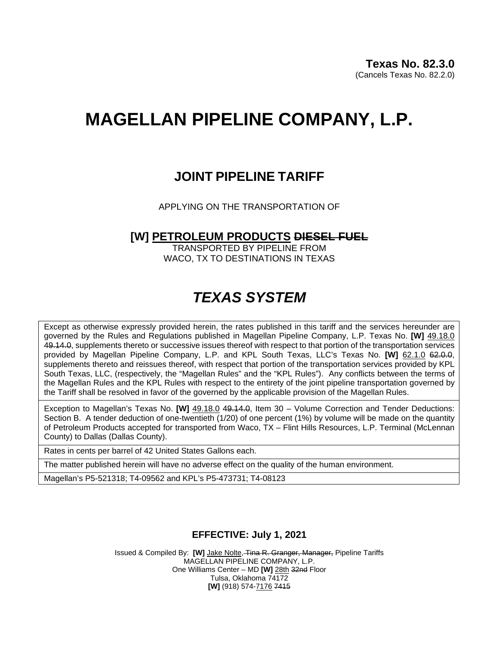# **MAGELLAN PIPELINE COMPANY, L.P.**

### **JOINT PIPELINE TARIFF**

APPLYING ON THE TRANSPORTATION OF

#### **[W] PETROLEUM PRODUCTS DIESEL FUEL**

TRANSPORTED BY PIPELINE FROM WACO, TX TO DESTINATIONS IN TEXAS

## *TEXAS SYSTEM*

Except as otherwise expressly provided herein, the rates published in this tariff and the services hereunder are governed by the Rules and Regulations published in Magellan Pipeline Company, L.P. Texas No. **[W]** 49.18.0 49.14.0, supplements thereto or successive issues thereof with respect to that portion of the transportation services provided by Magellan Pipeline Company, L.P. and KPL South Texas, LLC's Texas No. **[W]** 62.1.0 62.0.0, supplements thereto and reissues thereof, with respect that portion of the transportation services provided by KPL South Texas, LLC, (respectively, the "Magellan Rules" and the "KPL Rules"). Any conflicts between the terms of the Magellan Rules and the KPL Rules with respect to the entirety of the joint pipeline transportation governed by the Tariff shall be resolved in favor of the governed by the applicable provision of the Magellan Rules.

Exception to Magellan's Texas No. **[W]** 49.18.0 49.14.0, Item 30 – Volume Correction and Tender Deductions: Section B. A tender deduction of one-twentieth (1/20) of one percent (1%) by volume will be made on the quantity of Petroleum Products accepted for transported from Waco, TX – Flint Hills Resources, L.P. Terminal (McLennan County) to Dallas (Dallas County).

Rates in cents per barrel of 42 United States Gallons each.

The matter published herein will have no adverse effect on the quality of the human environment.

Magellan's P5-521318; T4-09562 and KPL's P5-473731; T4-08123

#### **EFFECTIVE: July 1, 2021**

Issued & Compiled By: **[W]** Jake Nolte, Tina R. Granger, Manager, Pipeline Tariffs MAGELLAN PIPELINE COMPANY, L.P. One Williams Center – MD **[W]** 28th 32nd Floor Tulsa, Oklahoma 74172 **[W]** (918) 574-7176 7415